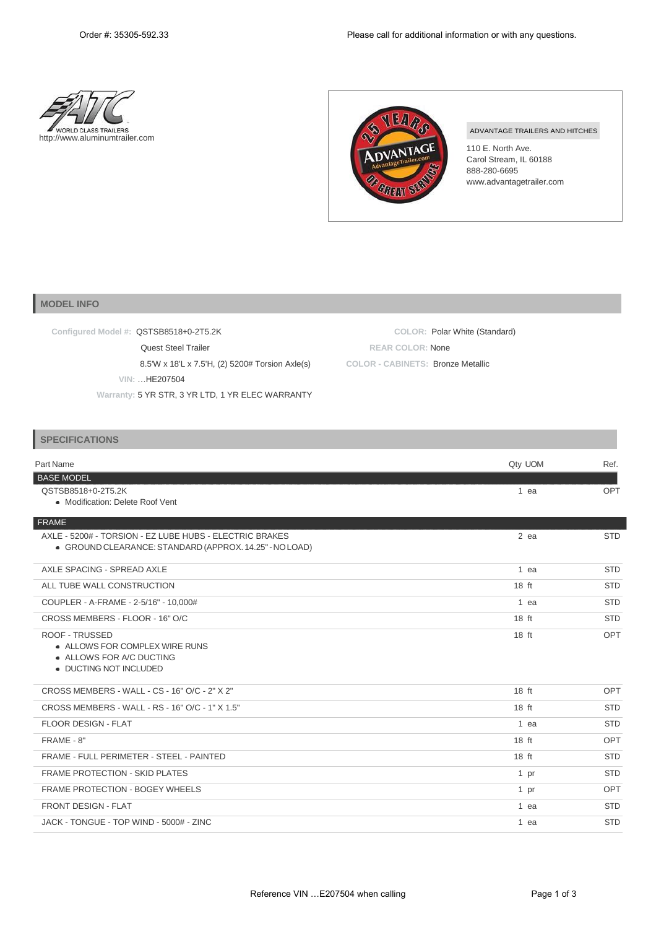



## ADVANTAGE TRAILERS AND HITCHES

110 E. North Ave. Carol Stream, IL 60188 888-280-6695 [www.advantagetrailer.com](http://www.advantagetrailer.com/)

## **MODEL INFO**

| Configured Model #: QSTSB8518+0-2T5.2K           | COLOR: Polar White (Standard)     |
|--------------------------------------------------|-----------------------------------|
| <b>Quest Steel Trailer</b>                       | <b>REAR COLOR: None</b>           |
| 8.5'W x 18'L x 7.5'H, (2) 5200# Torsion Axle(s)  | COLOR - CABINETS: Bronze Metallic |
| VIN: HE207504                                    |                                   |
| Warranty: 5 YR STR, 3 YR LTD, 1 YR ELEC WARRANTY |                                   |

## **SPECIFICATIONS**

| Part Name                                                                                                          | Qty UOM          | Ref.       |
|--------------------------------------------------------------------------------------------------------------------|------------------|------------|
| <b>BASE MODEL</b>                                                                                                  |                  |            |
| QSTSB8518+0-2T5.2K<br>• Modification: Delete Roof Vent                                                             | $1$ ea           | OPT        |
| FRAME                                                                                                              |                  |            |
| AXLE - 5200# - TORSION - EZ LUBE HUBS - ELECTRIC BRAKES<br>• GROUND CLEARANCE: STANDARD (APPROX. 14.25" - NO LOAD) | $2$ ea           | <b>STD</b> |
| AXLE SPACING - SPREAD AXLE                                                                                         | 1 ea             | <b>STD</b> |
| ALL TUBE WALL CONSTRUCTION                                                                                         | 18 ft            | <b>STD</b> |
| COUPLER - A-FRAME - 2-5/16" - 10,000#                                                                              | 1 ea             | <b>STD</b> |
| CROSS MEMBERS - FLOOR - 16" O/C                                                                                    | $18$ ft          | <b>STD</b> |
| <b>ROOF - TRUSSED</b><br>• ALLOWS FOR COMPLEX WIRE RUNS<br>• ALLOWS FOR A/C DUCTING<br>• DUCTING NOT INCLUDED      | $18$ ft          | <b>OPT</b> |
| CROSS MEMBERS - WALL - CS - 16" O/C - 2" X 2"                                                                      | 18 <sub>ft</sub> | <b>OPT</b> |
| CROSS MEMBERS - WALL - RS - 16" O/C - 1" X 1.5"                                                                    | 18 ft            | <b>STD</b> |
| FLOOR DESIGN - FLAT                                                                                                | 1 ea             | <b>STD</b> |
| FRAME - 8"                                                                                                         | $18$ ft          | <b>OPT</b> |
| FRAME - FULL PERIMETER - STEEL - PAINTED                                                                           | $18$ ft          | <b>STD</b> |
| <b>FRAME PROTECTION - SKID PLATES</b>                                                                              | 1 pr             | <b>STD</b> |
| <b>FRAME PROTECTION - BOGEY WHEELS</b>                                                                             | 1 pr             | <b>OPT</b> |
| <b>FRONT DESIGN - FLAT</b>                                                                                         | 1 ea             | <b>STD</b> |
| JACK - TONGUE - TOP WIND - 5000# - ZINC                                                                            | 1 ea             | <b>STD</b> |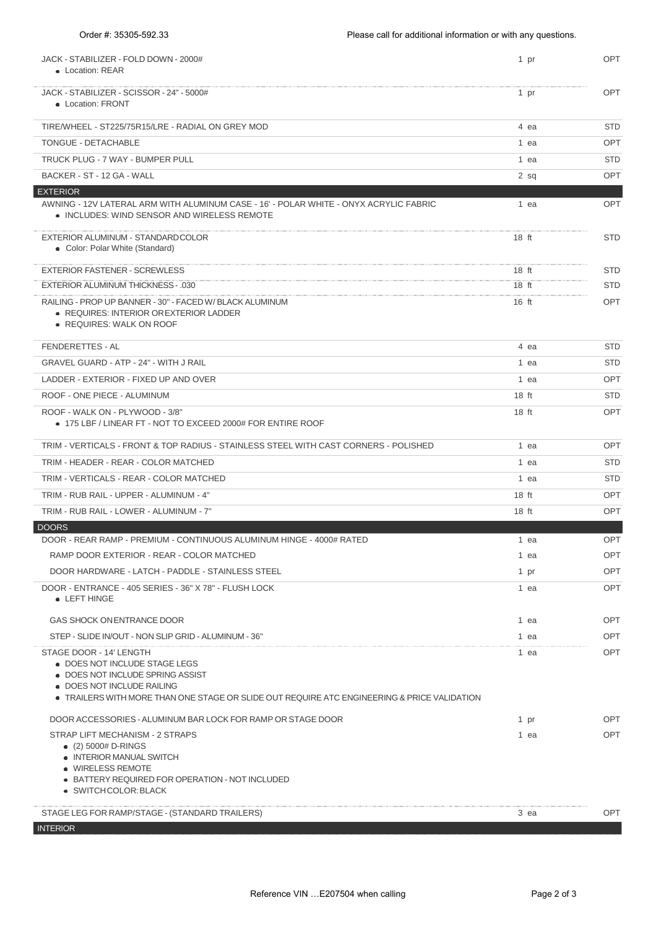| JACK - STABILIZER - FOLD DOWN - 2000#<br>• Location: REAR                                                                                                                                                                 | 1 pr             | <b>OPT</b> |
|---------------------------------------------------------------------------------------------------------------------------------------------------------------------------------------------------------------------------|------------------|------------|
| JACK - STABILIZER - SCISSOR - 24" - 5000#<br>• Location: FRONT                                                                                                                                                            | 1 pr             | <b>OPT</b> |
| TIRE/WHEEL - ST225/75R15/LRE - RADIAL ON GREY MOD                                                                                                                                                                         | 4 ea             | <b>STD</b> |
| TONGUE - DETACHABLE                                                                                                                                                                                                       | 1 ea             | <b>OPT</b> |
| TRUCK PLUG - 7 WAY - BUMPER PULL                                                                                                                                                                                          | 1 ea             | <b>STD</b> |
| BACKER - ST - 12 GA - WALL                                                                                                                                                                                                | 2 sq             | OPT        |
| <b>EXTERIOR</b>                                                                                                                                                                                                           |                  |            |
| AWNING - 12V LATERAL ARM WITH ALUMINUM CASE - 16' - POLAR WHITE - ONYX ACRYLIC FABRIC<br>• INCLUDES: WIND SENSOR AND WIRELESS REMOTE                                                                                      | 1 ea             | <b>OPT</b> |
| EXTERIOR ALUMINUM - STANDARDCOLOR<br>• Color: Polar White (Standard)                                                                                                                                                      | $18$ ft          | <b>STD</b> |
| <b>EXTERIOR FASTENER - SCREWLESS</b>                                                                                                                                                                                      | $18$ ft          | <b>STD</b> |
| <b>EXTERIOR ALUMINUM THICKNESS - .030</b>                                                                                                                                                                                 | $18$ ft          | <b>STD</b> |
| RAILING - PROP UP BANNER - 30" - FACED W/ BLACK ALUMINUM<br>• REQUIRES: INTERIOR OR EXTERIOR LADDER<br>• REQUIRES: WALK ON ROOF                                                                                           | $16$ ft          | <b>OPT</b> |
| FENDERETTES - AL                                                                                                                                                                                                          | 4 ea             | <b>STD</b> |
| <b>GRAVEL GUARD - ATP - 24" - WITH J RAIL</b>                                                                                                                                                                             | 1 ea             | STD        |
| LADDER - EXTERIOR - FIXED UP AND OVER                                                                                                                                                                                     | 1 ea             | <b>OPT</b> |
| ROOF - ONE PIECE - ALUMINUM                                                                                                                                                                                               | 18 <sub>ft</sub> | <b>STD</b> |
| ROOF - WALK ON - PLYWOOD - 3/8"<br>● 175 LBF / LINEAR FT - NOT TO EXCEED 2000# FOR ENTIRE ROOF                                                                                                                            | 18 <sub>ft</sub> | <b>OPT</b> |
| TRIM - VERTICALS - FRONT & TOP RADIUS - STAINLESS STEEL WITH CAST CORNERS - POLISHED                                                                                                                                      | 1 ea             | <b>OPT</b> |
| TRIM - HEADER - REAR - COLOR MATCHED                                                                                                                                                                                      | 1 ea             | <b>STD</b> |
| TRIM - VERTICALS - REAR - COLOR MATCHED                                                                                                                                                                                   | 1 ea             | <b>STD</b> |
| TRIM - RUB RAIL - UPPER - ALUMINUM - 4"                                                                                                                                                                                   | 18 <sub>ft</sub> | OPT        |
| TRIM - RUB RAIL - LOWER - ALUMINUM - 7"                                                                                                                                                                                   | 18 <sub>ft</sub> | <b>OPT</b> |
| <b>DOORS</b>                                                                                                                                                                                                              |                  |            |
| DOOR - REAR RAMP - PREMIUM - CONTINUOUS ALUMINUM HINGE - 4000# RATED                                                                                                                                                      | 1 ea             | <b>OPT</b> |
| RAMP DOOR EXTERIOR - REAR - COLOR MATCHED                                                                                                                                                                                 | 1 ea             | <b>OPT</b> |
| DOOR HARDWARE - LATCH - PADDLE - STAINLESS STEEL                                                                                                                                                                          | 1 pr             | <b>OPT</b> |
| DOOR - ENTRANCE - 405 SERIES - 36" X 78" - FLUSH LOCK<br>• LEFT HINGE                                                                                                                                                     | 1 ea             | <b>OPT</b> |
| GAS SHOCK ON ENTRANCE DOOR                                                                                                                                                                                                | 1 ea             | <b>OPT</b> |
| STEP - SLIDE IN/OUT - NON SLIP GRID - ALUMINUM - 36"                                                                                                                                                                      | 1 ea             | <b>OPT</b> |
| STAGE DOOR - 14' LENGTH<br>• DOES NOT INCLUDE STAGE LEGS<br>• DOES NOT INCLUDE SPRING ASSIST<br>• DOES NOT INCLUDE RAILING<br>● TRAILERS WITH MORE THAN ONE STAGE OR SLIDE OUT REQUIRE ATC ENGINEERING & PRICE VALIDATION | 1 ea             | <b>OPT</b> |
| DOOR ACCESSORIES - ALUMINUM BAR LOCK FOR RAMP OR STAGE DOOR                                                                                                                                                               | 1 pr             | <b>OPT</b> |
| STRAP LIFT MECHANISM - 2 STRAPS                                                                                                                                                                                           | 1 ea             | <b>OPT</b> |
| $(2)$ 5000# D-RINGS<br>• INTERIOR MANUAL SWITCH<br>• WIRELESS REMOTE<br>• BATTERY REQUIRED FOR OPERATION - NOT INCLUDED<br>• SWITCHCOLOR: BLACK                                                                           |                  |            |
| STAGE LEG FOR RAMP/STAGE - (STANDARD TRAILERS)                                                                                                                                                                            | 3 ea             | <b>OPT</b> |
| <b>INTERIOR</b>                                                                                                                                                                                                           |                  |            |